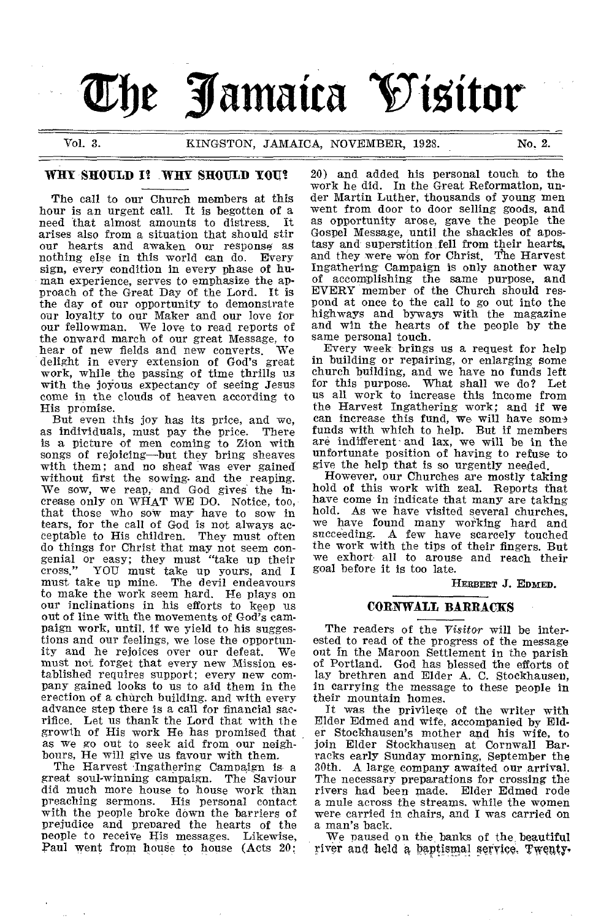# **The Jamaica Visitor**

Vol. 3. KINGSTON, JAMAICA, NOVEMBER, 1928. No. 2.

#### WHY SHOULD I? WHY SHOULD YOU?

The call to our Church members at this hour is an urgent call. It is begotten of a<br>need that almost amounts to distress. It need that almost amounts to distress. arises also from a situation that should stir our hearts and awaken our response as nothing else in this world can do. Every sign, every condition in every phase of human experience, serves to emphasize the approach of the Great Day of the Lord. It is the day of our opportunity to demonstrate our loyalty to our Maker and our love for our fellowman. We love to read reports of the onward march of our great Message, to hear of new fields and new converts. We delight in every extension of God's great work, while the passing of time thrills us with the joyous expectancy of seeing Jesus come in the clouds of heaven according to His promise.

But even this joy has its price, and we,<br>individuals, must pay the price. There as individuals, must pay the price. is a picture of men coming to Zion with songs of rejoicing—but they bring sheaves with them; and no sheaf was ever gained without first the sowing- and the reaping. We sow, we reap, and God gives the increase only on WHAT WE DO. Notice, too, that those who sow may have to sow in tears, for the call of God is not always acceptable to His children. They must often do things for Christ that may not seem con-genial or easy; they must "take up their cross." YOU must take up yours, and I must take up mine. The devil endeavours to make the work seem hard. He plays on our inclinations in his efforts to keep us out of line with the movements of God's campaign work, until, if we yield to his suggestions and our feelings, we lose the opportun-<br>ity and he rejoices over our defeat. We ity and he rejoices over our defeat. must not forget that every new Mission es-tablished requires support; every new company gained looks to us to aid them in the erection of a church building. and with every advance step there is a call for financial sacrifice. Let us thank the Lord that with the growth of His work He has promised that as we go out to seek aid from our neigh-

bours, He will give us favour with them. The Harvest Ingathering Campaign is a great soul-winning campaign. The Saviour did much more house to house work than<br>preaching sermons. His personal contact His personal contact with the people broke down the barriers of prejudice and prepared the hearts of the people to receive His messages. Likewise, Paul went from house to house (Acts 20:

20) and added his personal touch to the work he did. In the Great Reformation, under Martin Luther, thousands of young men went from door to door selling goods, and as opportunity arose, gave the people the Gospel Message, until the shackles of apostasy and superstition fell from their hearts, and they were won for Christ. The Harvest Ingathering Campaign is only another way of accomplishing the same purpose, and EVERY member of the Church should respond at once to the call to go out into the highways and byways with the magazine and win the hearts of the people by the same personal touch.

Every week brings us a request for help in building or repairing, or enlarging some church building, and we have no funds left for this purpose. What shall we do? Let us all work to increase this income from the Harvest Ingathering work; and if we can increase this fund, we will have some funds with which to help. But if members are indifferent' and lax, we will be in the unfortunate position of having to refuse to give the help that is so urgently needed.

However, our Churches are mostly taking hold of this work with zeal. Reports that have come in indicate that many are taking hold. As we have visited several churches, we have found many working hard and succeeding. A few have scarcely touched the work with the tips of their fingers. But we exhort all to arouse and reach their goal before it is too late.

HERBERT **J.** EDMED.

#### **CORNWALL BARRACKS**

The readers of the *Visitor* will be interested to read of the progress of the message out in the Maroon Settlement in the parish of Portland. God has blessed the efforts of lay brethren and Elder A. C. Stockhausen, in carrying the message to these people in their mountain homes.

It was the privilege of the writer with Elder Edmed and wife, accompanied by Elder Stockhausen's mother and his wife, to join Elder Stockhausen at Cornwall Barracks early Sunday morning, September the 30th. A large, company awaited our arrival. The necessary preparations for crossing the rivers had been made. Elder Edmed rode a mule across the streams. while the women were carried in chairs, and I was carried on a man's back.

We paused on the, banks of the beautiful river and held a baptismal service. Twenty,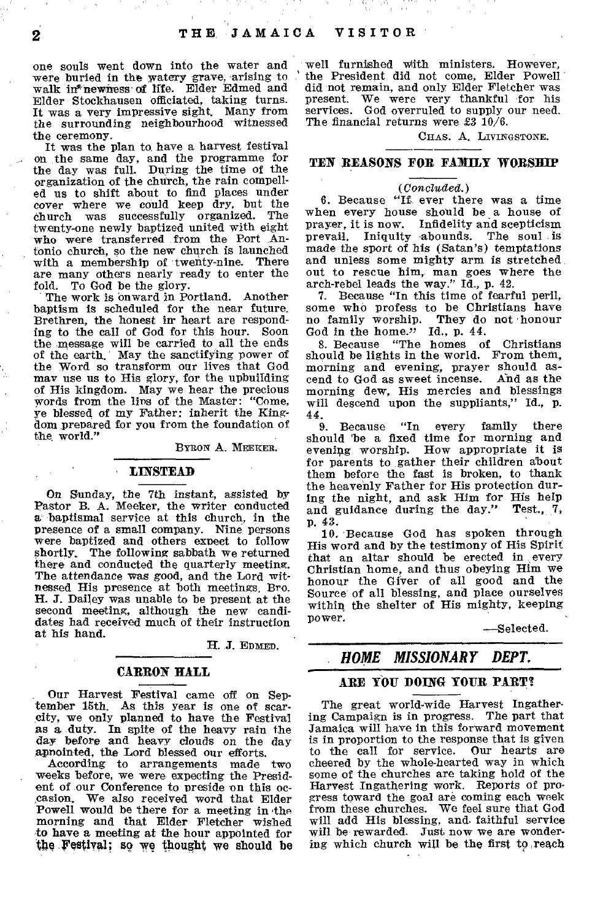one souls went down into the water and were buried in the watery grave, arising to walk in\*newness of life. Elder Edmed and Elder Stockhausen officiated, taking turns. It was a very impressive sight. Many from the *surrounding* neighbourhood witnessed the ceremony.

It was the plan to have a harvest festival on the same day, and the programme for the day was full. During the time of the organization of the church, the rain compelled us to shift about to find places under cover where we could keep dry, but the church was successfully organized. The twenty-one newly baptized united with eight who were transferred from the Port Antonio church, so the new chnrch is launched with a membership of twenty-nine. There are many others nearly ready to enter the fold. To God be the glory.

The work is onward in Portland. Another baptism is scheduled for the near future. Brethren, the honest in heart are responding to the call of God for this hour. Soon the message will be carried to all the ends of the earth. May the sanctifying power of the Word so transform our lives that God may use us to His glory, for the upbuilding of His kingdom. May we hear the precious words from the lips of the Master: "Come, ye blessed of my Father: inherit the Kingdom prepared for you from the foundation of the world."

BYRON A. MEEKER.

#### LINSTEAD

On Sunday, the 7th instant, assisted by Pastor B. A. Meeker, the writer conducted a baptismal service at this church, in the presence of a small company. Nine persons were baptized and others expect to follow shortly. The following sabbath we returned there and conducted the quarterly meeting. The attendance was good, and the Lord witnessed His presence at both meetings. Bro. H. J. Dailey was unable to be present at the second meeting, although the new candidates had received much of their instruction at his hand.

H. *J.* EDMED.

#### CARRON HALL

Our Harvest Festival came off on September 15th. As this year is one of scarcity, we only planned to have the Festival as a duty. In spite of the heavy rain the day before and heavy clouds on the day

appointed, the Lord blessed our efforts. According to arrangements made weeks before, we were expecting the President of our Conference to preside on this occasion. We also received word that Elder Powell would be there for a meeting in the morning and that Elder Fletcher wished to have a meeting at the hour appointed for the.Festival; so we thought we should be

well furnished With ministers. However, the President did not come, Elder Powell did not remain, and only Elder Fletcher was present. We were very thankful for his services. God overruled to supply our need. The financial returns were  $\pounds 3\ 10/6$ .

CHAS. A. LIVINGSTONE.

#### TEN REASONS FOR FAMILY WORSHIP

#### *(Conclicoled.)*

6. Because "If ever there was a time when every house should be a house of prayer, it is now. Infidelity and scepticism prevail. Iniquity abounds. The soul is made the sport of his (Satan's) temptations and unless some mighty arm is stretched out to rescue him, man goes where the arch-rebel leads the way." Id., p. 42.

7. Because "In this time of fearful peril, some who profess to be Christians have no family worship. They do not honour God in the home."  $Id., p. 44.$ 

8. Because "The homes of Christians should be lights in the world. From them, morning and evening, prayer should ascend to God as sweet incense. And as the morning dew, His mercies and blessings will descend upon the suppliants," Id., p.  $^{44}$ .

...<br>should be a fixed time for morning and<br> evening worship. How appropriate it is for parents to gather their children about them before the fast is broken, to thank the heavenly Father for His protection during the night, and ask Him for His help and guidance during the day." Test.,  $7$ , p. 43.

10. Because God has spoken through His word and by the testimony of His Spirit that an altar should be erected in every Christian home, and thus obeying Him we honour the Giver of all good and the Source of all blessing, and place ourselves within the shelter of His mighty, keeping power.

—Selected.

### *HOME MISSIONARY DEPT.*

#### ARE YOU DOING YOUR PART?

The great world-wide Harvest Ingathering Campaign is in progress. The part that Jamaica will have in this forward movement is in proportion to the response that is given<br>to the call for service. Our hearts are to the call for service. cheered by the whole-hearted way in which some of the churches are taking hold of the Harvest Ingathering work. Reports of progress toward the goal are coming each week from these churches. We feel sure that God will add His blessing, and. faithful service will be rewarded. Just now we are wondering which church will be the first to ,reach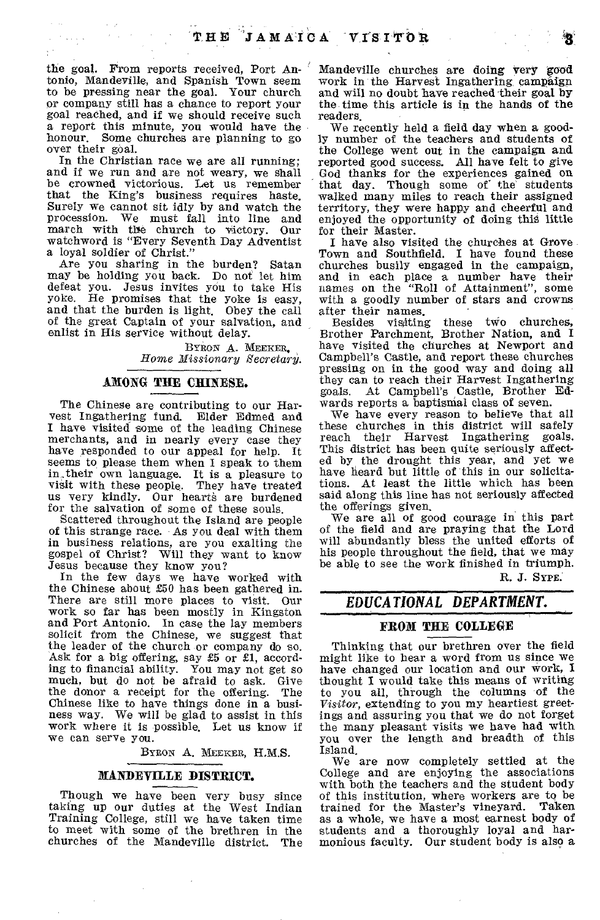the goal. From reports received, Port Antonio, Mandeville, and Spanish Town seem to be pressing near the goal. Your church or company still has a chance to report your goal reached, and if we should receive such a report this minute, you would have the honour. Some churches are planning to go over their goal.

 $\mathcal{L}$ 

In the Christian race we are all running; and if we run and are not weary, we shall be crowned victorious. Let us remember that the King's business requires haste. Surely we cannot sit idly by and watch the procession. We must fall into line and march with the church to victory. Our watchword is "Every Seventh Day Adventist a loyal soldier of Christ."

Are you sharing in the burden? Satan may be holding you back. Do not let him defeat you. Jesus invites you to take His yoke. He promises that the yoke is easy, and that the burden is light. Obey the call of the great Captain of your salvation, and enlist in His service without delay.

> BYRON A. MEEKER, *Home Missionary Secretary.*

#### AMONG THE CHINESE.

The Chinese are contributing to our Har-vest Ingathering fund. Elder Edmed and I have visited some of the leading Chinese merchants, and in nearly every case they have responded to our appeal for help. It seems to please them when I speak to them in their own language. It is a pleasure to visit with these people. They have treated us very kindly. Our hearts are burdened for the salvation of some of these souls.

Scattered throughout the Island are people of this strange race. As you deal with them in business relations, are you exalting the gospel of Christ? Will they want to know Jesus because they know you?

In the few days we have worked with the Chinese about £50 has been gathered in. There are still more places to visit. Our work so far has been mostly in Kingston and Port Antonio. In case the lay members solicit from the Chinese, we suggest that the leader of the church or company do so. Ask for a big offering, say £5 or £1, according to financial ability. You may not get so much, but do not be afraid to ask. Give<br>the donor a receipt for the offering. The the donor a receipt for the offering. Chinese like to have things done in a business way. We will be glad to assist in this work where it is possible. Let us know if we can serve you.

BYRON A. MEEKER, H.M.S.

#### MANDEYILLE DISTRICT.

Though we have been very busy since taking up our duties at the West Indian Training College, still we have taken time to meet with some of the brethren in the churches of the Mandeville district. The Mandeville churches are doing very good work in the Harvest Ingathering, campaign and will no doubt have reached their goal by the time this article is in the hands of the readers.

We recently held a field day when a goodly number of the teachers and students of the College went out in the campaign and reported good success. All have felt to give God thanks for the experiences gained on that day. Though some of the students walked many miles to reach their assigned territory, they were happy and cheerful and enjoyed the opportunity of doing this little for their Master.

I have also visited the churches at Grove. Town and Southfield. I have found these churches busily engaged in the campaign, and in each place a number have their names on the "Roll of Attainment", some with a goodly number of stars and crowns after their names.<br>Besides visiting

visiting these two churches, Brother Parchment, Brother Nation, and I have visited the churches at Newport and Campbell's Castle, and report these churches pressing on in the good way and doing all they can to reach their Harvest Ingathering goals. At Campbell's Castle, Brother Edwards reports a baptismal class of seven.

We have every reason to believe that all these churches in this district will safely reach their Harvest Ingathering goals. This district has been quite seriously affected by the drought this year, and yet we have heard but little of this in our solicitations. At least the little which has been said along this line has not seriously affected the offerings given.

We are all of good courage in this part of the field and are praying that the Lord will abundantly bless the united efforts of his people throughout the field, that we may be able to see the work finished in triumph.

R. J. SYPE.

# *EDUCATIONAL DEPARTMENT.*

#### FROM THE COLLEGE

Thinking that our brethren over the field might like to hear a word from us since we have changed our location and our work, I thought I would take this means of writing to you all, through the columns of the *Visitor,* extending to you my heartiest greetings and assuring you that we do not forget the many pleasant visits we have had with you over the length and breadth of this Island.

We are now completely settled at the College and are enjoying the associations with both the teachers and the student body of this institution, where workers are to be trained for the Master's vineyard. Taken trained for the Master's vineyard. as a whole, we have a most earnest body of students and a thoroughly loyal and harmonious faculty. Our student body is also a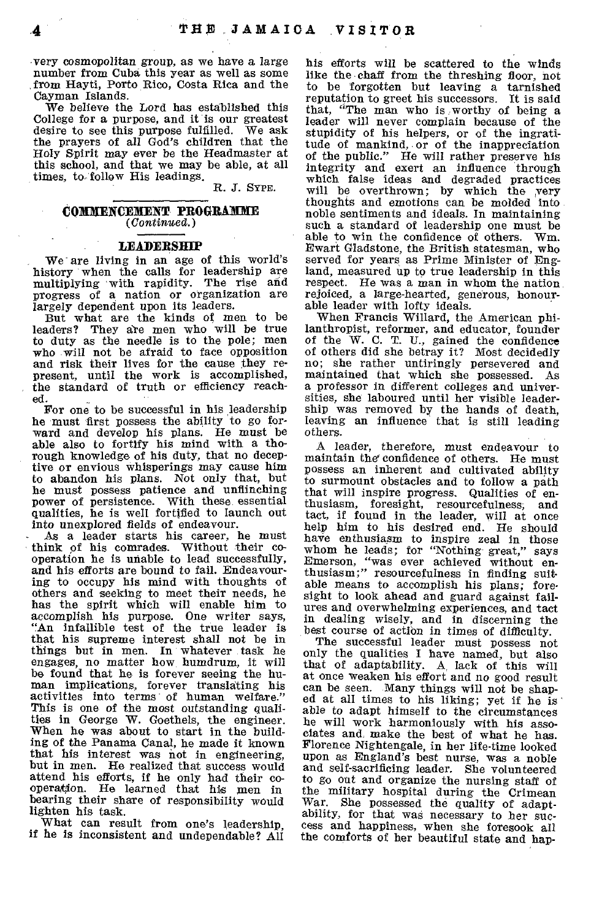very cosmopolitan group, as we have a large number from Cuba this year as well as some from Hayti, Porto Rico, Costa Rica and the Cayman Islands.

We believe the Lord has established this College for a purpose, and it is our greatest<br>desire to see this purpose fulfilled. We ask desire to see this purpose fulfilled. the prayers of all God's children that the Holy Spirit may ever be the Headmaster at this school, and that we may be able, at all times, to follow His leadings.

R. J. SYPE.

#### **COMIENCEMENT PROGRAMIE**  *(Continued.)*

#### **LEADERSHIP**

We are living in an age of this world's history when the calls for leadership are multiplying 'with rapidity. The rise and progress of a nation or organization are largely dependent upon its leaders.

But what are the kinds of men to be leaders? They are men who will be true to duty as the needle is to the pole; men who will not be afraid to face opposition and risk their lives for the cause they represent, until the work is accomplished, the standard of truth or efficiency reached.

For one to be successful in his leadership he must first possess the ability to go forward and develop his plans. He must be able also to fortify his mind with a thorough knowledge of his duty, that no deceptive or envious whisperings may cause him to abandon his plans. Not only that, but he must possess patience and unflinching power of persistence. With these essential qualities, he is well fortified to launch out into unexplored fields of endeavour.

As a leader starts his career, he must think of his comrades. Without their cooperation he is unable to lead successfully, and his efforts are bound to fail. Endeavouring to occupy his mind with thoughts of others and seeking to meet their needs, he has the spirit which will enable him to accomplish his purpose. One writer says, "An infallible test of the true leader is that his supreme interest shall not be in things but in men. In whatever task he engages, no matter how humdrum, it will be found that he is forever seeing the human implications, forever translating his activities into terms of human welfare." This is one of the most outstanding qualities in George W. Goethels, the engineer. When he was about to start in the building of the Panama Canal, he made it known that his interest was not in engineering, but in men. He realized that success would attend his efforts, if he only had their cooperation. He learned that his men in bearing their share of responsibility would lighten his task.

What can result from one's leadership, if he is inconsistent and undependable? All

his efforts will be scattered to the winds like the chaff from the threshing floor, not to be forgotten but leaving a tarnished reputation to greet his successors. It is said that, "The man who is worthy of being a leader will never complain because of the stupidity of his helpers, or of the ingratitude of mankind, or of the inappreciation of the public." He will rather preserve his integrity and exert an influence through which false ideas and degraded practices<br>will be overthrown; by which the very<br>thoughts and emotions can be molded into noble sentiments and ideals. In maintaining such a standard of leadership one must be able to win the confidence of others. Wm. Ewart Gladstone, the British statesman, who served for years as Prime Minister of England, measured up to true leadership in this respect. He was a man in whom the nation rejoiced, a large-hearted, generous, honourable leader with lofty ideals.

When Francis Willard, the American philanthropist, reformer, and educator, founder of the W. C. T. U., gained the confidence of others did she betray it? Most decidedly no; she rather untiringly persevered and maintained that which she possessed. As a professor in different colleges and universities, she laboured until her visible leadership was removed by the hands of death, leaving an influence that is still leading others.

A leader, therefore, *must* endeavour to maintain the' confidence of others. He must possess an inherent and cultivated ability to surmount obstacles and to follow a path that will inspire progress. Qualities of enthusiasm, foresight, resourcefulness; and tact, if found in the leader, will at once help him to his desired end. He should have enthusiasm to inspire zeal in those whom he leads; for "Nothing-great," says Emerson, "was ever achieved without enthusiasm;" resourcefulness in finding suit able means to accomplish his plans; foresight to look ahead and guard against failures and overwhelming experiences, and tact in dealing wisely, and in discerning the best course of action in times of difficulty.

The successful leader must possess not only the qualities I have named, but also that of adaptability. A lack of this will at once weaken his effort and no good result can be seen. Many things will not be shap-ed at all times to his liking; yet if he is able to adapt himself to the circumstances he will work harmoniously with his associates and, make the best of what he has. Florence Nightengale, in her life-time looked upon as England's best nurse, was a noble and self-sacrificing leader. She volunteered to go out and organize the nursing staff of the military hospital during the Crimean War. She possessed the quality of adaptability, for that was necessary to her success and happiness, when she foresook all the comforts of her beautiful state and hap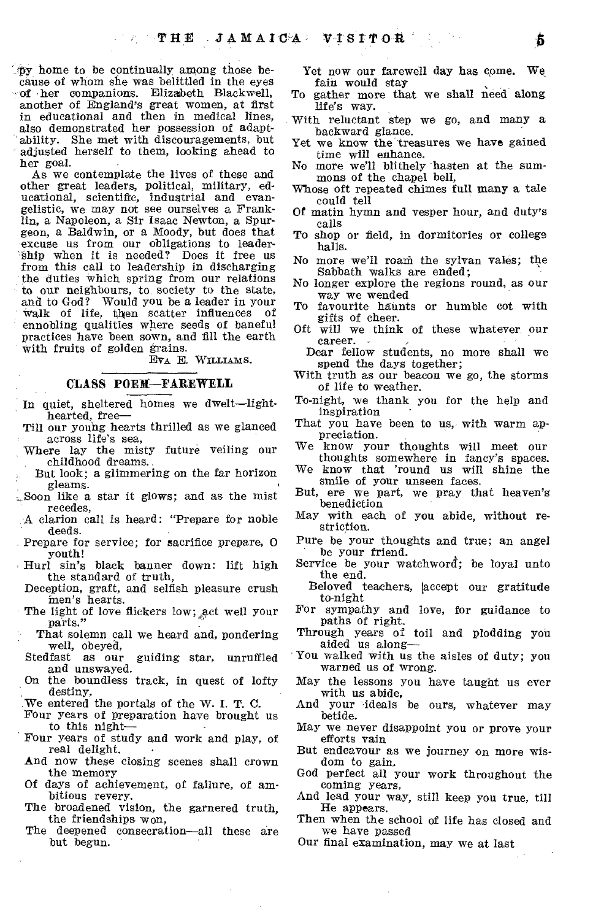'1)3, home to be continually among those because of whom she was belittled in the eyes of her companions. Elizabeth Blackwell, another of England's great women, at first in educational and then in medical lines, also demonstrated her possession of adaptability. She met with discouragements, but adjusted herself to them, looking ahead to her goal.

As we contemplate the lives of these and other great leaders, political, military, educational, scientific, industrial and evangelistic, we may not see ourselves a Franklin, a Napoleon, a Sir Isaac Newton, a Spurgeon, a Baldwin, or a Moody, but does that excuse us from our obligations to leader-Ship when it is needed? Does it free us from this call to leadership in discharging the duties which spring from our relations to our neighbours, to, society to the state, and to God? Would you be a leader in your walk of life, then scatter influences of ennobling qualities where seeds of baneful practices have been sown, and fill the earth with fruits of golden grains.

EVA E. WILLIAMS.

#### CLASS POEM—FAREWELL

- In quiet, sheltered homes we dwelt—lighthearted, free—
- Till our young hearts thrilled as we glanced across life's sea,
- Where lay the misty future veiling our childhood dreams.
- But look; a glimmering on the far horizon gleams.
- Soon like a star it glows; and as the mist recedes,
	- A clarion call is heard: "Prepare for noble deeds.
	- Prepare for service; for sacrifice prepare, 0 youth!
- Hurl sin's black banner down: lift high the standard of truth,
- Deception, graft, and selfish pleasure crush men's hearts.
- The light of love flickers low; act well your parts."
- That solemn call we heard and, pondering well, obeyed,<br>Stedfast as our
- guiding star, unruffled and unswayed.
- On the boundless track, in quest of lofty destiny,
- We entered the portals of the W. I. T. C.
- Four years of preparation have brought us to this night—
- Four years of study and work and play, of real delight.
- And now these closing scenes shall crown the memory
- Of days of achievement, of failure, of ambitious revery.
- The broadened vision, the garnered truth, the friendships won,
- The deepened consecration—all these are but begun.

Yet now our farewell day has come. We fain would stay

- To gather more that we shall need along life's way.
- With reluctant step we go, and many a backward glance.
- Yet we know the treasures we have gained time will enhance.
- No more we'll blithely hasten at the summons of the chapel bell,
- Whose oft repeated chimes full many a tale could tell
- Of matin hymn and vesper hour, and duty's calls
- To shop or field, in dormitories or college halls.
- No more we'll roam the sylvan vales; the Sabbath walks are ended;
- No longer explore the regions round, as our way we wended
- To favourite haunts or humble cot with gifts of cheer.
- Oft will we think of these whatever, our career.
	- Dear fellow students, no more shall we spend the days together;
- With truth as our beacon we go, the storms of life to weather.
- To-night, we thank you for the help and inspiration
- That you have been to us, with warm appreciation.
- We know your thoughts will meet our thoughts somewhere in fancy's spaces.
- We know that 'round us will shine the smile of your unseen faces.
- But, ere we part, we pray that heaven's benediction
- May with each of you abide, without restriction.
- Pure be your thoughts and true; an angel be your friend.
- Service be your watchword; be loyal unto the end.
	- Beloved teachers, accept our gratitude to-night
- For sympathy and love, for guidance to paths of right.

Through years of toil and plodding you aided us along—

- You walked with us the aisles of duty; you warned us of wrong.
- May the lessons you have taught us ever with us abide,
- And your ideals be ours, whatever may betide.
- May we never disappoint you or prove your efforts vain
- But endeavour as we journey on more wisdom to gain.
- God perfect all your work throughout the coming years,
- And lead your way, still keep you true, till He appears.
- Then when the school of life has closed and we have passed
- Our final examination, may we at last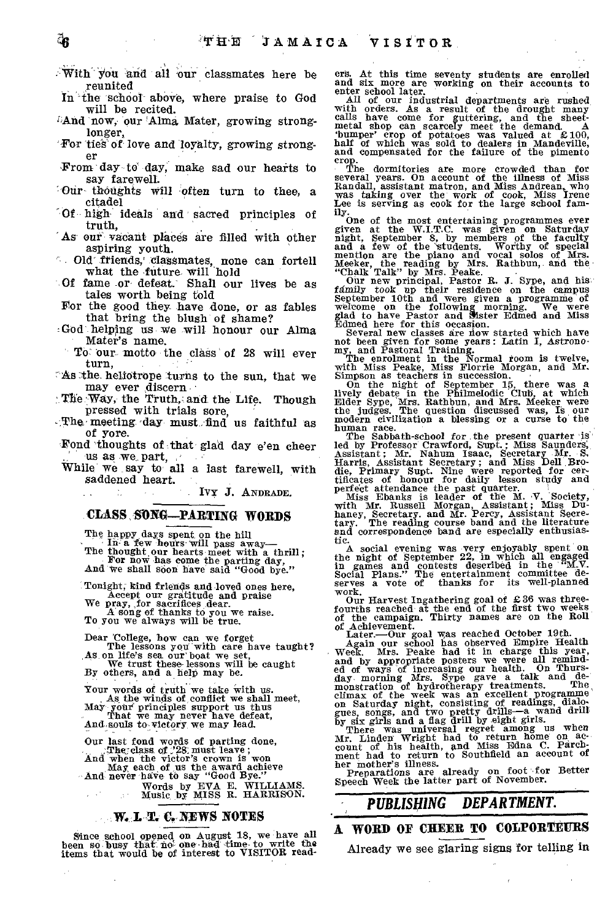- :-With` you and all 'our classmates here be reunited
- In the school above, where praise to God will be recited.
- *And now, our Alma Mater, growing strong*longer,
- 'For ties` of love and loyalty, growing stronger
- From day to day, make sad our hearts to say farewell.
- Our thoughts will often turn to thee, a citadel
- Of high ideals and sacred principles of truth,
- As our vacant places are filled with other aspiring youth.
- . Old' friends,' classmates, none can fortell what the future will hold
- Of fame or defeat.' Shall our lives be as tales worth being told
- For the good they have done, or as fables that bring the blush of shame?
- God helping us we will honour our Alma Mater's name.
	- To our motto the class of 28 will ever turn,
- As the heliotrope turns to the sun, that we may ever discern.
- The Way, the Truth, and the Life. Though pressed with trials sore,
- The meeting day must find us faithful as of yore.
- Fond 'thoughts of :that glad day e'en cheer us as we. part,
- While we say to all a last fareWell, with saddened heart.

Ivy J. ANDRADE.

#### **'CLASS :SONG—PARTING WORDS**

The happy days spent on the hill<br>
In- a few hours will pass away—<br>
The thought our hearts meet with a thrill;<br>
For now has come the parting day,<br>
And we shall soon have said "Good bye."

Tonight; kind friends and loved ones here, Accept our gratitude and praise<br>
We pray, for sacrifices dear.<br>
To you we always will be true.<br>
To you we always will be true.

Dear College, how can we forget<br>The lessons you with care have taught?<br>As on life's sea our boat we set,<br>We trust these lessons will be caught<br>By others, and a help may be.

Your words of truth we take with us.<br>
As, the winds of conflict we shall meet,<br>
May your principles support us thus<br>
That we may never have defeat,<br>
And souls to victory, we may lead.

Our last fond words of parting done,<br>
The: class of 228 must leave;<br>
And when the victor's crown is won May each of us the award achieve<br>And never have to say "Good Bye."

Words by EVA E. WILLIAMS. Music, by MISS R. HARRISON.

#### **CI, NEWS NOTES**

2 A

Since school opened on August 18, we have all<br>been so busy that no one bad time to write the<br>items that would be of interest to VISITOR read-

ers. At this time seventy students are enrolled and six more are working on their accounts to

enter school later. "Samme on their accounts to the character school later."<br>While of our industrial departments are rushed with orders. As a result of the drought many<br>calls have come for guttering, and the sheet-<br>metal s crop.

The dormitories are more crowded than for<br>several years. On account of the illness of Miss<br>Randall, assistant matron, and Miss Andrean, who<br>was taking over the work of cook, Miss Irene<br>Lee is serving as cook for the large

ily.<br>
One of the most entertaining programmes ever<br>
given at the W.I.T.C. was given on Saturday<br>
night, September 8, by members of the faculty<br>
nand a few of the students. Worthy of special<br>
mention are the piano and vocal

The Sabbath-school for the present quarter is<br>
refl by Professor Crawford, Supt., Mass Saunders,<br>
led by Professor Crawford, Supt., Mass Saunders,<br>
Harris, Assistant Secretary ; and Miss Dell Bro-<br>
die, Primary Supt. Nine

A social evening was very enjoyably spent on<br>the night of September 22, in which all engaged<br>in games and contests described in the "M.V.<br>Social Plans." The entertainment committee de-<br>serves a vote of thanks for its wellwork.

Our Harvest Ingathering goal of £36 was three-<br>fourths reached at the end of the first two weeks<br>of the campaign. Thirty names are on the Roll

of Achievement.<br>
Later......Our goal was reached October 19th.<br>
Later.......Our goal was reached October 19th.<br>
Magin our school has observed Empire Health<br>
and by appropriate posters we were all remind-<br>
and by appropriat

The music is a set already on foot for Better Speech Week the latter part of November.

## *PUBLISHING DEPARTMENT.*

# **A WORD OF CHEER TO COLPORTEURS**

Already we see glaring signs for telling in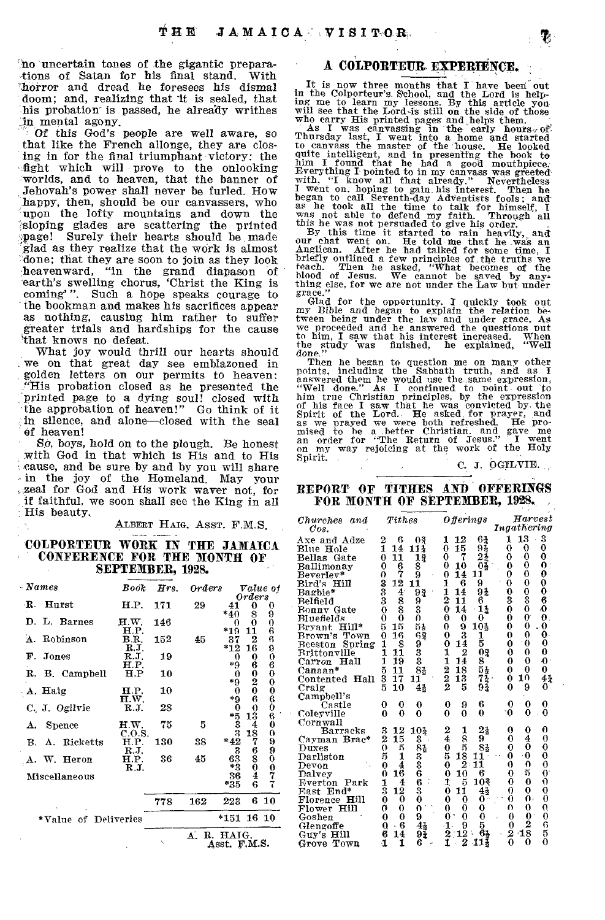no uncertain tones of the gigantic prepara-<br>tions of Satan for his final stand. With tions of Satan for his final stand. horror and dread he foresees his dismal doom; and, realizing that it is sealed, that his probation' is passed, he already writhes in mental agony.

Of this God's people are well aware, so that like the French allonge, they are closing in for the final triumphant victory: the fight which will • prove to the onlooking worlds, and to heaven, that the banner of Jehovah's power shall never be furled. How happy, then, should be our canvassers, who upon the lofty mountains and down the 'sloping glades are scattering the printed page! Surely their hearts should be made glad as they realize that the work is almost done; that they are soon to join as they look heavenward, "in the grand diapason of earth's swelling chorus, 'Christ the King is coming'". Such a hope speaks courage to the bookman and makes his sacrifices appear as nothing, causing him rather to suffer greater trials and hardships for the cause 'that knows no defeat.

What joy would thrill our hearts should we on that great day see emblazoned in golden letters on our permits to heaven: "His probation closed as he presented the printed page to a dying soul! closed with the approbation of heaven!" Go think of it in silence, and alone—closed with the seal of heaven!

So, boys, hold on to the plough. Be honest with God in that which is His and to His cause, and be sure by and by you will share in the joy of the Homeland. May your zeal for God and His work waver not, for if faithful, we soon shall see the King in all His beauty.

ALBERT HAIG. ASST. F.M.S.

#### COLPORTEUR WORK IN THE JAMAICA CONFERENCE FOR THE MONTH OF SEPTEMBER, 1928.

| - Names              | Book           | Hrs. | $orders$ |                                |                                                   | <i>Value</i> of |
|----------------------|----------------|------|----------|--------------------------------|---------------------------------------------------|-----------------|
| R Hurst              | H.P.           | 171  | 29       | 41                             | $\it{orders}$<br>0                                |                 |
| D. L. Barnes         | H.W.           | 146  |          | *40<br>0                       | 8<br>0                                            | 9<br>0          |
| A. Robinson          | H.P.<br>B.R.   | 152  | 45       | $*19$<br>37                    | 11<br>2                                           | 6<br>6          |
| Р.<br>Jones          | R.J.<br>R.J.   | 19   |          | $*12$<br>0                     | 16<br>0                                           |                 |
| R. B. Campbell       | H.P.<br>H.P    | 10   |          | *9<br>0                        | 6                                                 |                 |
| A. Haig              | Н.Р.           | 10   |          | *9<br>0                        | $\begin{smallmatrix} 0 \ 2 \ 0 \end{smallmatrix}$ | 9060006060      |
| C. J. Ogilvie        | H.W.<br>R.J.   | 28   |          | $*9$                           | 6<br>0                                            |                 |
|                      |                |      |          |                                | 13                                                |                 |
| <b>Spence</b><br>А.  | H.W.<br>C.O.S. | 75   | 5        | $*_{33}^{53}$<br>$*_{42}^{33}$ | 18                                                |                 |
| B. A. Ricketts       | H.P.<br>RJ.    | 130  | 38       | 3                              | 7<br>6                                            |                 |
| A. W. Heron          | H.P.<br>R.J.   | 36   | 45       | 63<br>*3                       | 8                                                 |                 |
| Miscellaneous        |                |      |          | 36<br>*35                      | $_4^0$<br>6                                       | 0990077         |
|                      |                | 778  | 162      | 223                            |                                                   | 610             |
| *Value of Deliveries |                |      |          | *151 16 10                     |                                                   |                 |
|                      |                |      | Δ.       | R. HAIG.<br>Asst. F.M.S.       |                                                   |                 |

#### **A COLPORTEUR EXPERIENCE.**

It is now three months that I have been out<br>in the Colporteur's School, and the Lord is help-<br>ing me to learn my lessons. By this article you<br>will see that the Lord is still on the side of those<br>who carry His printed pages

As I was canvassing in the early hours, of<br>Thursday last, I went into a home and started<br>to canvass the master of the house. He looked<br>quite intelligent, and in presenting the book to<br>him I found that he had a good mouthpi

began to call Seventh-day Adventists fools; and<br>hegan to call Seventh-day Adventists fools; and<br>was he took all the time to talk for himself, I<br>was not able to defend my faith. Through all<br>this he was not persuaded to give

Glad for the opportunity. I quickly took out my Bible and began to explain the relation be-<br>tween being under the law and under grace. As<br>we proceeded and he answered the questions put<br>to him, I saw that his interest incre

Then he began to question me on many other points, including the Sabbath truth, and as I can<br>answered them he would use the same expression, "Well done." As I continued to point out to<br>him true Christian principles, by the Spirit.

C. J. OGILVIE.

#### REPORT OF TITHES AND OFFERINGS FOR MONTH OF SEPTEMBER, 1928.

| Churches<br>and               | $\it Tithes$                                     |                 | <b>Offerings</b>                  | $\it{H}arvest$                |
|-------------------------------|--------------------------------------------------|-----------------|-----------------------------------|-------------------------------|
| $\cos$ .                      |                                                  |                 |                                   | Ingathering                   |
|                               | 2<br>6                                           |                 | 12<br>1                           | 3<br>13<br>1                  |
| Axe and Adze                  | 1                                                | ОŽ              | 633<br>15<br>0                    | 0<br>0<br>0                   |
| Blue Hole                     | 14                                               | 11≨             |                                   |                               |
| Bellas<br>Gate                | 11<br>0                                          | 12              | $\bf{0}$<br>7                     | 0<br>$\bf{0}$<br>0            |
| Ballimonay                    | 6<br>0                                           | 8               | Оš<br>10<br>0                     | 0.<br>0<br>0                  |
| $\rm{BererIev*}$              | 7<br>0                                           | ğ               | 14<br>$\bf{0}$<br>11              | 0<br>0<br>0                   |
| Bird's Hill                   | 12                                               | 11              | 9<br>1<br>6                       | 0<br>0<br>0                   |
| Bagbie*                       | 4                                                |                 | 1<br>14<br>94                     | Ō<br>$\mathbf 0$              |
| Belfield                      | အအစာ                                             |                 | $\overline{2}$<br>11<br>6         | $\frac{0}{3}$<br>3<br>6       |
| Bonny Gate                    | $\begin{smallmatrix}8\8\0\end{smallmatrix}$<br>0 | ទិ៖<br>ខ្ញុំ    | $1\frac{1}{4}$<br>0<br>14         | ۰O<br>0<br>0                  |
| Bluefields                    | 0                                                | 0               | 0<br>0<br>0                       | 0<br>0.<br>0                  |
| Hill*<br>Bryant               | 15<br>5                                          |                 | 0<br>10%<br>9                     | 0<br>0<br>0                   |
| Brown's Town                  | 16<br>$\bf{0}$                                   | 55<br>62        | 0<br>3<br>1                       | 0.<br>0<br>0                  |
| Spring<br><b>Beeston</b>      | 8<br>1                                           |                 | 5<br>0<br>14                      | 0<br>0<br>0                   |
| $\operatorname{Rrittonville}$ | $\mathbf{1}$<br>11                               | 933             | 0 <sup>3</sup><br>2               | 0<br>$\bf{0}$<br>0            |
| Hall<br>$\rm Carron$          | 19<br>1                                          |                 | 14<br>8                           | $\mathbf{0}$<br>0<br>0        |
| Canaan*                       | 5<br>11                                          | 81              | $\frac{1}{2}$ $\frac{2}{2}$<br>18 | 0<br>0<br>$\bf{0}$            |
| Contented<br>$_{\rm Hall}$    | 3<br>17                                          | 11              | 55<br>73<br>94<br>13              | $4\frac{1}{2}$<br>0<br>10     |
|                               | 10<br>5                                          |                 | 5                                 | 9<br>0<br>0                   |
| Craig                         |                                                  | 41              |                                   |                               |
| Campbell's                    |                                                  |                 |                                   |                               |
| Castle                        | 0<br>0                                           | 0               | 6<br>9<br>0                       | $\bf{0}$<br>0<br>0            |
| Coleyville                    | $\bf{0}$<br>0                                    | 0               | $\bf{0}$<br>0<br>0                | $\bf{0}$<br>۰0<br>0           |
| Cornwall                      |                                                  |                 |                                   |                               |
| Barracks                      | 12<br>3                                          | $10\frac{1}{4}$ | 21<br>$\frac{2}{4}$<br>1          | $\bf{0}$<br>0<br>0            |
| Cayman Brac*                  | 15<br>2                                          |                 | 9<br>8<br>5                       | $\bf{0}$<br>4<br>0            |
| Duxes                         | 5<br>$\mathbf 0$                                 |                 | 0<br>81                           | $\bf{0}$<br>$\bf{0}$<br>0     |
| Darliston                     | 5<br>1                                           |                 | 5<br>11                           | $\bf{0}$<br>$\cdot$ O<br>0    |
| $_{\mathrm{Devon}}$           | 0<br>4                                           | 38336630        | $\frac{18}{2}$<br>11<br>0         | $\ddot{\mathbf{0}}$<br>0<br>0 |
| Dalvey                        | Ō<br>16                                          |                 | 10<br>6<br>$\bf{0}$               | 5<br>$\mathbf{0}$<br>0        |
| Everton<br>Park               | 4                                                |                 | 10%<br>5<br>1                     | Û<br>$\bf{0}$<br>0            |
| East End*                     | $\frac{1}{3}$<br>12                              |                 | 4 <sub>2</sub><br>0<br>11         | 0<br>0<br>0                   |
| Florence Hill                 | 0<br>0                                           |                 | 0<br>0<br>0                       | Ö<br>$\mathbf{0}$<br>0        |
| Hill<br>Flower                | $\bf{0}$<br>0                                    | 0               | $\theta$<br>0<br>0                | $\bf{0}$<br>Ó<br>0            |
| Goshen                        | 0<br>0                                           | 9               | 0.<br>0<br>0                      | 0<br>0<br>0                   |
| Glengoffe                     | 6<br>Q                                           |                 | $\mathbf{1}$<br>5<br>9            | 2<br>G<br>0                   |
| Hill                          | 14<br>б                                          | $^{41}_{94}$    | $12^{\circ}$<br>Ğ,<br>2           | 48<br>5<br>2                  |
| Guy's                         | 1<br>4                                           | 6               | 1Į<br>Í<br>2<br>-1                | 0<br>0<br>0                   |
| Town<br>Grove                 |                                                  |                 |                                   |                               |